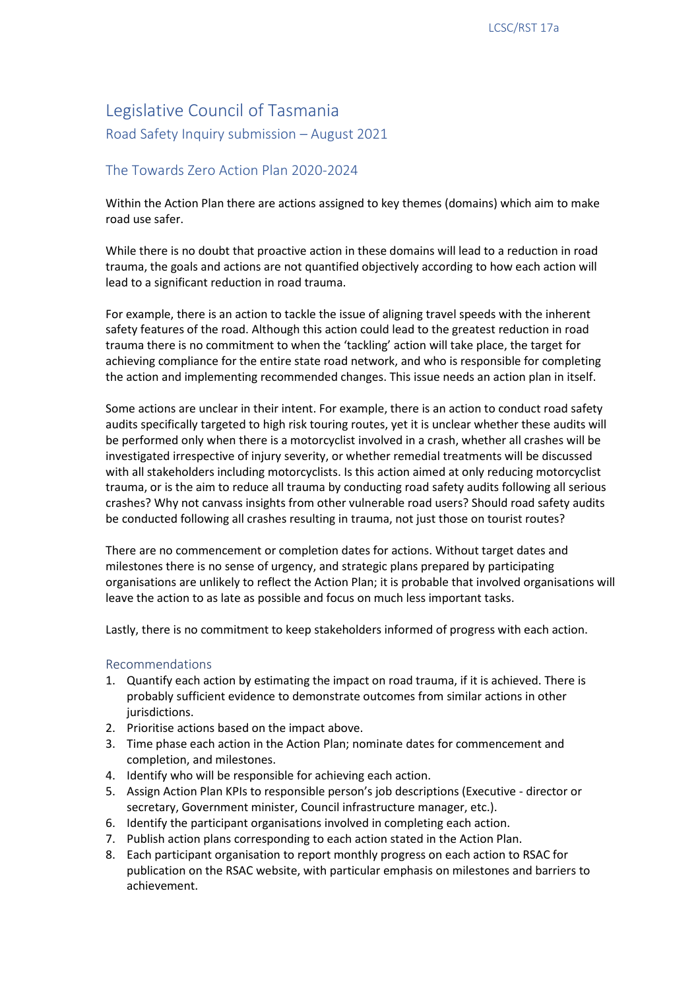## Legislative Council of Tasmania

Road Safety Inquiry submission – August 2021

## The Towards Zero Action Plan 2020-2024

Within the Action Plan there are actions assigned to key themes (domains) which aim to make road use safer.

While there is no doubt that proactive action in these domains will lead to a reduction in road trauma, the goals and actions are not quantified objectively according to how each action will lead to a significant reduction in road trauma.

For example, there is an action to tackle the issue of aligning travel speeds with the inherent safety features of the road. Although this action could lead to the greatest reduction in road trauma there is no commitment to when the 'tackling' action will take place, the target for achieving compliance for the entire state road network, and who is responsible for completing the action and implementing recommended changes. This issue needs an action plan in itself.

Some actions are unclear in their intent. For example, there is an action to conduct road safety audits specifically targeted to high risk touring routes, yet it is unclear whether these audits will be performed only when there is a motorcyclist involved in a crash, whether all crashes will be investigated irrespective of injury severity, or whether remedial treatments will be discussed with all stakeholders including motorcyclists. Is this action aimed at only reducing motorcyclist trauma, or is the aim to reduce all trauma by conducting road safety audits following all serious crashes? Why not canvass insights from other vulnerable road users? Should road safety audits be conducted following all crashes resulting in trauma, not just those on tourist routes?

There are no commencement or completion dates for actions. Without target dates and milestones there is no sense of urgency, and strategic plans prepared by participating organisations are unlikely to reflect the Action Plan; it is probable that involved organisations will leave the action to as late as possible and focus on much less important tasks.

Lastly, there is no commitment to keep stakeholders informed of progress with each action.

## Recommendations

- 1. Quantify each action by estimating the impact on road trauma, if it is achieved. There is probably sufficient evidence to demonstrate outcomes from similar actions in other jurisdictions.
- 2. Prioritise actions based on the impact above.
- 3. Time phase each action in the Action Plan; nominate dates for commencement and completion, and milestones.
- 4. Identify who will be responsible for achieving each action.
- 5. Assign Action Plan KPIs to responsible person's job descriptions (Executive director or secretary, Government minister, Council infrastructure manager, etc.).
- 6. Identify the participant organisations involved in completing each action.
- 7. Publish action plans corresponding to each action stated in the Action Plan.
- 8. Each participant organisation to report monthly progress on each action to RSAC for publication on the RSAC website, with particular emphasis on milestones and barriers to achievement.